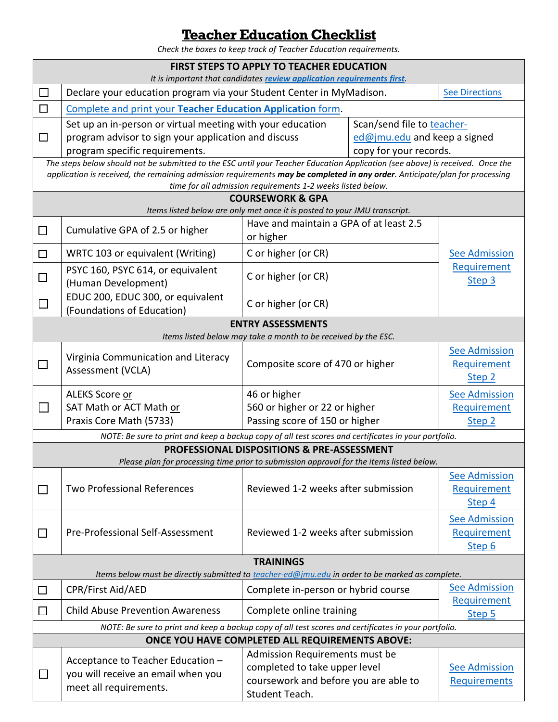## **Teacher Education Checklist**

*Check the boxes to keep track of Teacher Education requirements.* 

| <b>FIRST STEPS TO APPLY TO TEACHER EDUCATION</b><br>It is important that candidates review application requirements first.                                                                                                                                                                                                  |                                                                                                   |                                                                                          |                                |                                                          |  |  |  |
|-----------------------------------------------------------------------------------------------------------------------------------------------------------------------------------------------------------------------------------------------------------------------------------------------------------------------------|---------------------------------------------------------------------------------------------------|------------------------------------------------------------------------------------------|--------------------------------|----------------------------------------------------------|--|--|--|
| □                                                                                                                                                                                                                                                                                                                           | Declare your education program via your Student Center in MyMadison.                              |                                                                                          | <b>See Directions</b>          |                                                          |  |  |  |
| $\Box$                                                                                                                                                                                                                                                                                                                      | Complete and print your Teacher Education Application form.                                       |                                                                                          |                                |                                                          |  |  |  |
|                                                                                                                                                                                                                                                                                                                             |                                                                                                   | Set up an in-person or virtual meeting with your education<br>Scan/send file to teacher- |                                |                                                          |  |  |  |
| $\Box$                                                                                                                                                                                                                                                                                                                      | program advisor to sign your application and discuss                                              |                                                                                          | ed@jmu.edu and keep a signed   |                                                          |  |  |  |
|                                                                                                                                                                                                                                                                                                                             | program specific requirements.                                                                    | copy for your records.                                                                   |                                |                                                          |  |  |  |
| The steps below should not be submitted to the ESC until your Teacher Education Application (see above) is received. Once the<br>application is received, the remaining admission requirements may be completed in any order. Anticipate/plan for processing<br>time for all admission requirements 1-2 weeks listed below. |                                                                                                   |                                                                                          |                                |                                                          |  |  |  |
|                                                                                                                                                                                                                                                                                                                             | <b>COURSEWORK &amp; GPA</b>                                                                       |                                                                                          |                                |                                                          |  |  |  |
| Items listed below are only met once it is posted to your JMU transcript.                                                                                                                                                                                                                                                   |                                                                                                   |                                                                                          |                                |                                                          |  |  |  |
| $\Box$                                                                                                                                                                                                                                                                                                                      | Cumulative GPA of 2.5 or higher                                                                   | Have and maintain a GPA of at least 2.5<br>or higher                                     |                                |                                                          |  |  |  |
| $\Box$                                                                                                                                                                                                                                                                                                                      | WRTC 103 or equivalent (Writing)                                                                  | C or higher (or CR)                                                                      |                                | <b>See Admission</b>                                     |  |  |  |
| $\Box$                                                                                                                                                                                                                                                                                                                      | PSYC 160, PSYC 614, or equivalent<br>(Human Development)                                          | C or higher (or CR)                                                                      |                                | Requirement<br>Step 3                                    |  |  |  |
|                                                                                                                                                                                                                                                                                                                             | EDUC 200, EDUC 300, or equivalent<br>(Foundations of Education)                                   | C or higher (or CR)                                                                      |                                |                                                          |  |  |  |
| <b>ENTRY ASSESSMENTS</b><br>Items listed below may take a month to be received by the ESC.                                                                                                                                                                                                                                  |                                                                                                   |                                                                                          |                                |                                                          |  |  |  |
| $\Box$                                                                                                                                                                                                                                                                                                                      | Virginia Communication and Literacy<br>Assessment (VCLA)                                          | Composite score of 470 or higher                                                         |                                | <b>See Admission</b><br>Requirement<br>Step <sub>2</sub> |  |  |  |
|                                                                                                                                                                                                                                                                                                                             | ALEKS Score or                                                                                    | 46 or higher<br>560 or higher or 22 or higher<br>Passing score of 150 or higher          |                                | <b>See Admission</b>                                     |  |  |  |
| $\Box$                                                                                                                                                                                                                                                                                                                      | SAT Math or ACT Math or                                                                           |                                                                                          |                                | Requirement                                              |  |  |  |
|                                                                                                                                                                                                                                                                                                                             | Praxis Core Math (5733)                                                                           |                                                                                          |                                | Step <sub>2</sub>                                        |  |  |  |
| NOTE: Be sure to print and keep a backup copy of all test scores and certificates in your portfolio.                                                                                                                                                                                                                        |                                                                                                   |                                                                                          |                                |                                                          |  |  |  |
| <b>PROFESSIONAL DISPOSITIONS &amp; PRE-ASSESSMENT</b><br>Please plan for processing time prior to submission approval for the items listed below.                                                                                                                                                                           |                                                                                                   |                                                                                          |                                |                                                          |  |  |  |
| $\Box$                                                                                                                                                                                                                                                                                                                      | <b>Two Professional References</b>                                                                | Reviewed 1-2 weeks after submission                                                      |                                | <b>See Admission</b><br>Requirement<br>Step 4            |  |  |  |
| $\Box$                                                                                                                                                                                                                                                                                                                      | Pre-Professional Self-Assessment                                                                  | Reviewed 1-2 weeks after submission                                                      |                                | <b>See Admission</b><br>Requirement<br>Step 6            |  |  |  |
| <b>TRAININGS</b><br>Items below must be directly submitted to teacher-ed@jmu.edu in order to be marked as complete.                                                                                                                                                                                                         |                                                                                                   |                                                                                          |                                |                                                          |  |  |  |
| $\Box$                                                                                                                                                                                                                                                                                                                      | CPR/First Aid/AED                                                                                 | Complete in-person or hybrid course                                                      |                                | <b>See Admission</b>                                     |  |  |  |
| $\Box$                                                                                                                                                                                                                                                                                                                      | <b>Child Abuse Prevention Awareness</b>                                                           | Complete online training                                                                 |                                | Requirement<br>Step 5                                    |  |  |  |
| NOTE: Be sure to print and keep a backup copy of all test scores and certificates in your portfolio.                                                                                                                                                                                                                        |                                                                                                   |                                                                                          |                                |                                                          |  |  |  |
| ONCE YOU HAVE COMPLETED ALL REQUIREMENTS ABOVE:                                                                                                                                                                                                                                                                             |                                                                                                   |                                                                                          |                                |                                                          |  |  |  |
| $\Box$                                                                                                                                                                                                                                                                                                                      | Acceptance to Teacher Education -<br>you will receive an email when you<br>meet all requirements. |                                                                                          | Admission Requirements must be |                                                          |  |  |  |
|                                                                                                                                                                                                                                                                                                                             |                                                                                                   | completed to take upper level<br>coursework and before you are able to                   |                                | <b>See Admission</b>                                     |  |  |  |
|                                                                                                                                                                                                                                                                                                                             |                                                                                                   | Student Teach.                                                                           |                                | Requirements                                             |  |  |  |